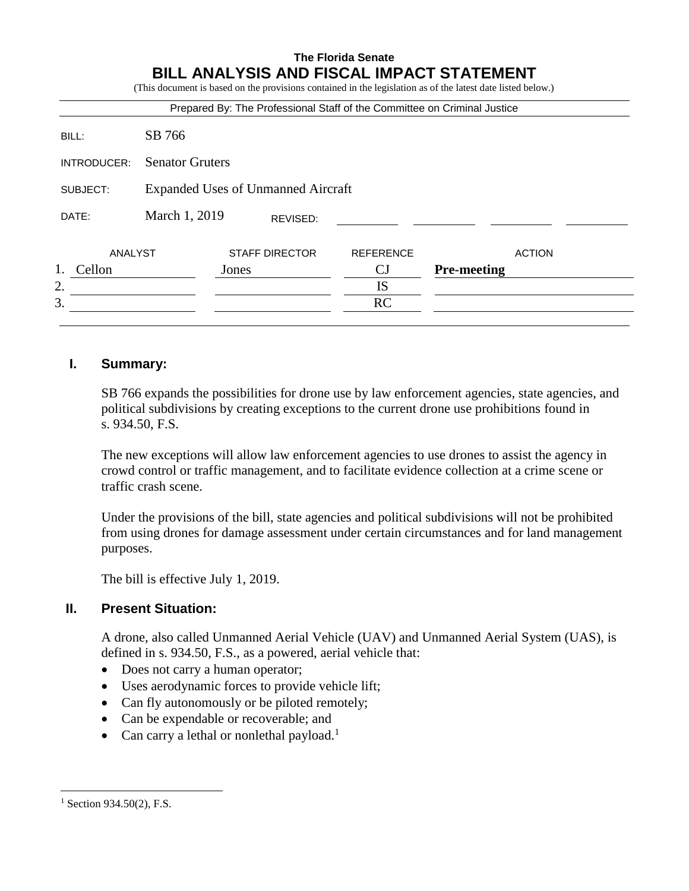#### **The Florida Senate BILL ANALYSIS AND FISCAL IMPACT STATEMENT** (This document is donot in the provisions contained in the legislation as of the latest date listed below.)

|             |                                           |       |                       | Prepared By: The Professional Staff of the Committee on Criminal Justice |                    |               |
|-------------|-------------------------------------------|-------|-----------------------|--------------------------------------------------------------------------|--------------------|---------------|
| BILL:       | SB 766                                    |       |                       |                                                                          |                    |               |
| INTRODUCER: | <b>Senator Gruters</b>                    |       |                       |                                                                          |                    |               |
| SUBJECT:    | <b>Expanded Uses of Unmanned Aircraft</b> |       |                       |                                                                          |                    |               |
| DATE:       | March 1, 2019                             |       | REVISED:              |                                                                          |                    |               |
| ANALYST     |                                           |       | <b>STAFF DIRECTOR</b> | <b>REFERENCE</b>                                                         |                    | <b>ACTION</b> |
| Cellon      |                                           | Jones |                       | CJ                                                                       | <b>Pre-meeting</b> |               |
| 2.          |                                           |       |                       | IS                                                                       |                    |               |
| 3.          |                                           |       |                       | RC                                                                       |                    |               |

## **I. Summary:**

SB 766 expands the possibilities for drone use by law enforcement agencies, state agencies, and political subdivisions by creating exceptions to the current drone use prohibitions found in s. 934.50, F.S.

The new exceptions will allow law enforcement agencies to use drones to assist the agency in crowd control or traffic management, and to facilitate evidence collection at a crime scene or traffic crash scene.

Under the provisions of the bill, state agencies and political subdivisions will not be prohibited from using drones for damage assessment under certain circumstances and for land management purposes.

The bill is effective July 1, 2019.

## **II. Present Situation:**

A drone, also called Unmanned Aerial Vehicle (UAV) and Unmanned Aerial System (UAS), is defined in s. 934.50, F.S., as a powered, aerial vehicle that:

- Does not carry a human operator;
- Uses aerodynamic forces to provide vehicle lift;
- Can fly autonomously or be piloted remotely;
- Can be expendable or recoverable; and
- Can carry a lethal or nonlethal payload.<sup>1</sup>

 $1$  Section 934.50(2), F.S.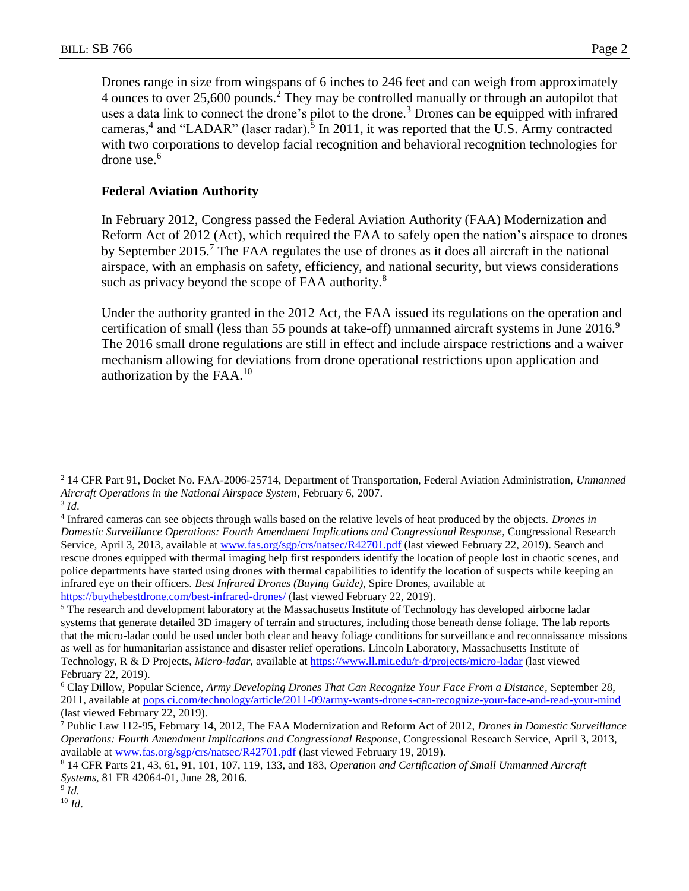Drones range in size from wingspans of 6 inches to 246 feet and can weigh from approximately 4 ounces to over 25,600 pounds.<sup>2</sup> They may be controlled manually or through an autopilot that uses a data link to connect the drone's pilot to the drone.<sup>3</sup> Drones can be equipped with infrared cameras,<sup>4</sup> and "LADAR" (laser radar).<sup>5</sup> In 2011, it was reported that the U.S. Army contracted with two corporations to develop facial recognition and behavioral recognition technologies for drone use.<sup>6</sup>

## **Federal Aviation Authority**

In February 2012, Congress passed the Federal Aviation Authority (FAA) Modernization and Reform Act of 2012 (Act), which required the FAA to safely open the nation's airspace to drones by September 2015.<sup>7</sup> The FAA regulates the use of drones as it does all aircraft in the national airspace, with an emphasis on safety, efficiency, and national security, but views considerations such as privacy beyond the scope of FAA authority.<sup>8</sup>

Under the authority granted in the 2012 Act, the FAA issued its regulations on the operation and certification of small (less than 55 pounds at take-off) unmanned aircraft systems in June  $2016$ . The 2016 small drone regulations are still in effect and include airspace restrictions and a waiver mechanism allowing for deviations from drone operational restrictions upon application and authorization by the  $FAA<sup>10</sup>$ 

<sup>2</sup> 14 CFR Part 91, Docket No. FAA-2006-25714, Department of Transportation, Federal Aviation Administration, *Unmanned Aircraft Operations in the National Airspace System*, February 6, 2007.

<sup>3</sup> *Id*.

<sup>4</sup> Infrared cameras can see objects through walls based on the relative levels of heat produced by the objects. *Drones in Domestic Surveillance Operations: Fourth Amendment Implications and Congressional Response*, Congressional Research Service, April 3, 2013, available at [www.fas.org/sgp/crs/natsec/R42701.pdf](http://www.fas.org/sgp/crs/natsec/R42701.pdf) (last viewed February 22, 2019). Search and rescue drones equipped with thermal imaging help first responders identify the location of people lost in chaotic scenes, and police departments have started using drones with thermal capabilities to identify the location of suspects while keeping an infrared eye on their officers. *Best Infrared Drones (Buying Guide)*, Spire Drones, available at <https://buythebestdrone.com/best-infrared-drones/> (last viewed February 22, 2019).

<sup>&</sup>lt;sup>5</sup> The research and development laboratory at the Massachusetts Institute of Technology has developed airborne ladar systems that generate detailed 3D imagery of terrain and structures, including those beneath dense foliage. The lab reports that the micro-ladar could be used under both clear and heavy foliage conditions for surveillance and reconnaissance missions as well as for humanitarian assistance and disaster relief operations. Lincoln Laboratory, Massachusetts Institute of Technology, R & D Projects, *Micro-ladar*, available at<https://www.ll.mit.edu/r-d/projects/micro-ladar> (last viewed February 22, 2019).

<sup>6</sup> Clay Dillow, Popular Science, *Army Developing Drones That Can Recognize Your Face From a Distance,* September 28, 2011, available at pops [ci.com/technology/article/2011-09/army-wants-drones-can-recognize-your-face-and-read-your-mind](http://www.popsci.com/technology/article/2011-09/army-wants-drones-can-recognize-your-face-and-read-your-mind) (last viewed February 22, 2019).

<sup>7</sup> Public Law 112-95, February 14, 2012, The FAA Modernization and Reform Act of 2012, *Drones in Domestic Surveillance Operations: Fourth Amendment Implications and Congressional Response*, Congressional Research Service, April 3, 2013, available at [www.fas.org/sgp/crs/natsec/R42701.pdf](http://www.fas.org/sgp/crs/natsec/R42701.pdf) (last viewed February 19, 2019).

<sup>8</sup> 14 CFR Parts 21, 43, 61, 91, 101, 107, 119, 133, and 183, *Operation and Certification of Small Unmanned Aircraft Systems*, 81 FR 42064-01, June 28, 2016.

<sup>9</sup> *Id.*

<sup>10</sup> *Id*.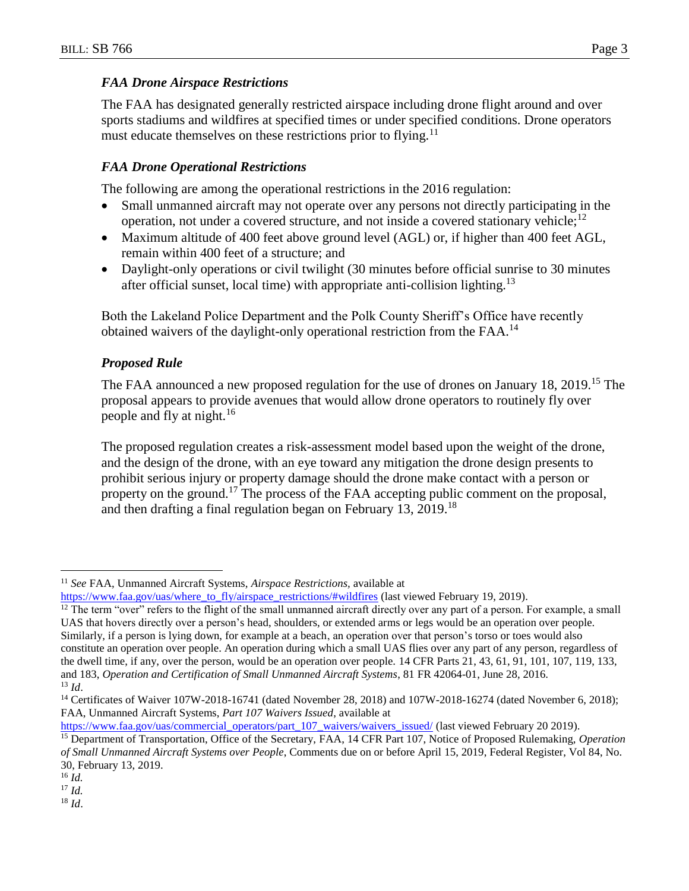## *FAA Drone Airspace Restrictions*

The FAA has designated generally restricted airspace including drone flight around and over sports stadiums and wildfires at specified times or under specified conditions. Drone operators must educate themselves on these restrictions prior to flying.<sup>11</sup>

## *FAA Drone Operational Restrictions*

The following are among the operational restrictions in the 2016 regulation:

- Small unmanned aircraft may not operate over any persons not directly participating in the operation, not under a covered structure, and not inside a covered stationary vehicle;<sup>12</sup>
- Maximum altitude of 400 feet above ground level (AGL) or, if higher than 400 feet AGL, remain within 400 feet of a structure; and
- Daylight-only operations or civil twilight (30 minutes before official sunrise to 30 minutes after official sunset, local time) with appropriate anti-collision lighting.<sup>13</sup>

Both the Lakeland Police Department and the Polk County Sheriff's Office have recently obtained waivers of the daylight-only operational restriction from the FAA.<sup>14</sup>

## *Proposed Rule*

The FAA announced a new proposed regulation for the use of drones on January 18, 2019.<sup>15</sup> The proposal appears to provide avenues that would allow drone operators to routinely fly over people and fly at night.<sup>16</sup>

The proposed regulation creates a risk-assessment model based upon the weight of the drone, and the design of the drone, with an eye toward any mitigation the drone design presents to prohibit serious injury or property damage should the drone make contact with a person or property on the ground.<sup>17</sup> The process of the FAA accepting public comment on the proposal, and then drafting a final regulation began on February 13, 2019.<sup>18</sup>

 $\overline{a}$ 

<sup>18</sup> *Id*.

<sup>11</sup> *See* FAA, Unmanned Aircraft Systems, *Airspace Restrictions,* available at

[https://www.faa.gov/uas/where\\_to\\_fly/airspace\\_restrictions/#wildfires](https://www.faa.gov/uas/where_to_fly/airspace_restrictions/#wildfires) (last viewed February 19, 2019).

 $12$  The term "over" refers to the flight of the small unmanned aircraft directly over any part of a person. For example, a small UAS that hovers directly over a person's head, shoulders, or extended arms or legs would be an operation over people. Similarly, if a person is lying down, for example at a beach, an operation over that person's torso or toes would also constitute an operation over people. An operation during which a small UAS flies over any part of any person, regardless of the dwell time, if any, over the person, would be an operation over people. 14 CFR Parts 21, 43, 61, 91, 101, 107, 119, 133, and 183, *Operation and Certification of Small Unmanned Aircraft Systems*, 81 FR 42064-01, June 28, 2016. <sup>13</sup> *Id*.

<sup>&</sup>lt;sup>14</sup> Certificates of Waiver 107W-2018-16741 (dated November 28, 2018) and 107W-2018-16274 (dated November 6, 2018); FAA, Unmanned Aircraft Systems, *Part 107 Waivers Issued*, available at

[https://www.faa.gov/uas/commercial\\_operators/part\\_107\\_waivers/waivers\\_issued/](https://www.faa.gov/uas/commercial_operators/part_107_waivers/waivers_issued/) (last viewed February 20 2019). <sup>15</sup> Department of Transportation, Office of the Secretary, FAA, 14 CFR Part 107, Notice of Proposed Rulemaking, *Operation of Small Unmanned Aircraft Systems over People*, Comments due on or before April 15, 2019, Federal Register, Vol 84, No. 30, February 13, 2019.

<sup>16</sup> *Id.*

<sup>17</sup> *Id.*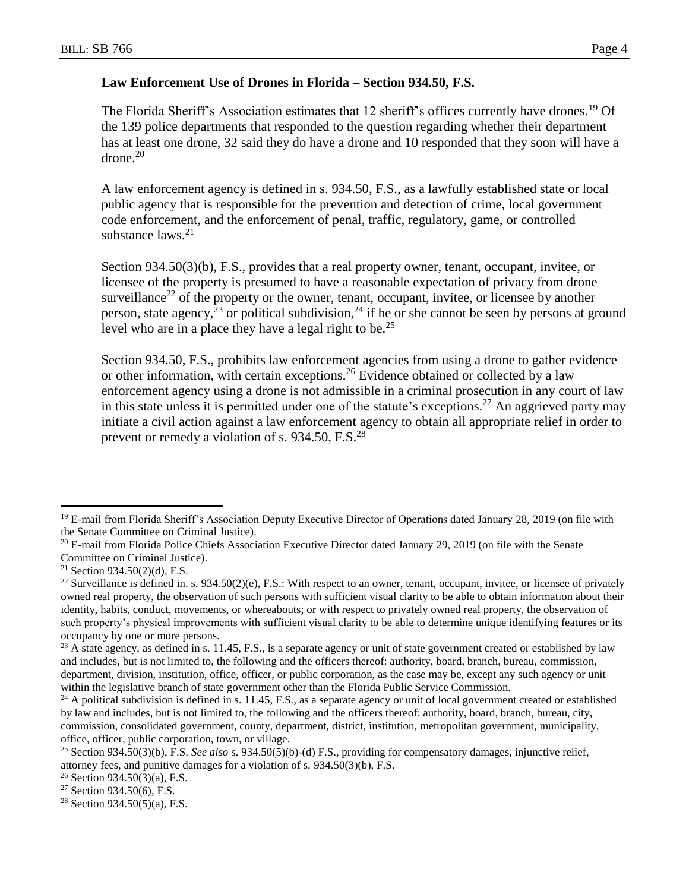## **Law Enforcement Use of Drones in Florida – Section 934.50, F.S.**

The Florida Sheriff's Association estimates that 12 sheriff's offices currently have drones.<sup>19</sup> Of the 139 police departments that responded to the question regarding whether their department has at least one drone, 32 said they do have a drone and 10 responded that they soon will have a  $drone<sup>20</sup>$ 

A law enforcement agency is defined in s. 934.50, F.S., as a lawfully established state or local public agency that is responsible for the prevention and detection of crime, local government code enforcement, and the enforcement of penal, traffic, regulatory, game, or controlled substance  $l$ aws.<sup>21</sup>

Section 934.50(3)(b), F.S., provides that a real property owner, tenant, occupant, invitee, or licensee of the property is presumed to have a reasonable expectation of privacy from drone surveillance<sup>22</sup> of the property or the owner, tenant, occupant, invitee, or licensee by another person, state agency,<sup>23</sup> or political subdivision,<sup>24</sup> if he or she cannot be seen by persons at ground level who are in a place they have a legal right to be.<sup>25</sup>

Section 934.50, F.S., prohibits law enforcement agencies from using a drone to gather evidence or other information, with certain exceptions.<sup>26</sup> Evidence obtained or collected by a law enforcement agency using a drone is not admissible in a criminal prosecution in any court of law in this state unless it is permitted under one of the statute's exceptions.<sup>27</sup> An aggrieved party may initiate a civil action against a law enforcement agency to obtain all appropriate relief in order to prevent or remedy a violation of s. 934.50, F.S.<sup>28</sup>

<sup>&</sup>lt;sup>19</sup> E-mail from Florida Sheriff's Association Deputy Executive Director of Operations dated January 28, 2019 (on file with the Senate Committee on Criminal Justice).

<sup>&</sup>lt;sup>20</sup> E-mail from Florida Police Chiefs Association Executive Director dated January 29, 2019 (on file with the Senate Committee on Criminal Justice).

<sup>&</sup>lt;sup>21</sup> Section 934.50(2)(d), F.S.

<sup>&</sup>lt;sup>22</sup> Surveillance is defined in. s.  $934.50(2)(e)$ , F.S.: With respect to an owner, tenant, occupant, invitee, or licensee of privately owned real property, the observation of such persons with sufficient visual clarity to be able to obtain information about their identity, habits, conduct, movements, or whereabouts; or with respect to privately owned real property, the observation of such property's physical improvements with sufficient visual clarity to be able to determine unique identifying features or its occupancy by one or more persons.

 $^{23}$  A state agency, as defined in s. 11.45, F.S., is a separate agency or unit of state government created or established by law and includes, but is not limited to, the following and the officers thereof: authority, board, branch, bureau, commission, department, division, institution, office, officer, or public corporation, as the case may be, except any such agency or unit within the legislative branch of state government other than the Florida Public Service Commission.

 $24$  A political subdivision is defined in s. 11.45, F.S., as a separate agency or unit of local government created or established by law and includes, but is not limited to, the following and the officers thereof: authority, board, branch, bureau, city, commission, consolidated government, county, department, district, institution, metropolitan government, municipality, office, officer, public corporation, town, or village.

<sup>25</sup> Section 934.50(3)(b), F.S. *See also* s. 934.50(5)(b)-(d) F.S., providing for compensatory damages, injunctive relief, attorney fees, and punitive damages for a violation of s. 934.50(3)(b), F.S.

<sup>&</sup>lt;sup>26</sup> Section 934.50(3)(a), F.S.

<sup>27</sup> Section 934.50(6), F.S.

<sup>&</sup>lt;sup>28</sup> Section 934.50(5)(a), F.S.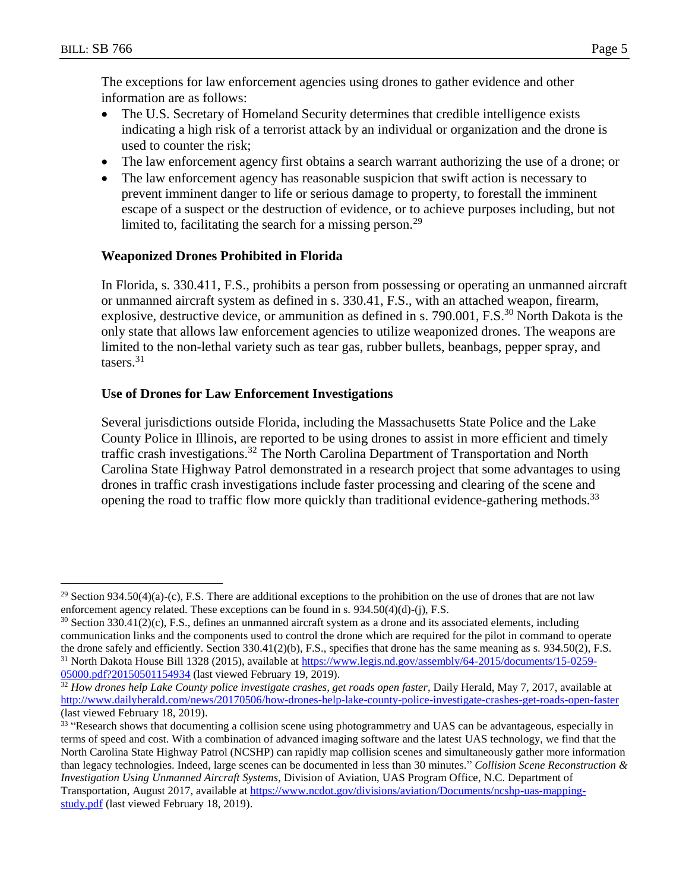$\overline{a}$ 

The exceptions for law enforcement agencies using drones to gather evidence and other information are as follows:

- The U.S. Secretary of Homeland Security determines that credible intelligence exists indicating a high risk of a terrorist attack by an individual or organization and the drone is used to counter the risk;
- The law enforcement agency first obtains a search warrant authorizing the use of a drone; or
- The law enforcement agency has reasonable suspicion that swift action is necessary to prevent imminent danger to life or serious damage to property, to forestall the imminent escape of a suspect or the destruction of evidence, or to achieve purposes including, but not limited to, facilitating the search for a missing person.<sup>29</sup>

## **Weaponized Drones Prohibited in Florida**

In Florida, s. 330.411, F.S., prohibits a person from possessing or operating an unmanned aircraft or unmanned aircraft system as defined in s. 330.41, F.S., with an attached weapon, firearm, explosive, destructive device, or ammunition as defined in s. 790.001, F.S.<sup>30</sup> North Dakota is the only state that allows law enforcement agencies to utilize weaponized drones. The weapons are limited to the non-lethal variety such as tear gas, rubber bullets, beanbags, pepper spray, and tasers. 31

## **Use of Drones for Law Enforcement Investigations**

Several jurisdictions outside Florida, including the Massachusetts State Police and the Lake County Police in Illinois, are reported to be using drones to assist in more efficient and timely traffic crash investigations.<sup>32</sup> The North Carolina Department of Transportation and North Carolina State Highway Patrol demonstrated in a research project that some advantages to using drones in traffic crash investigations include faster processing and clearing of the scene and opening the road to traffic flow more quickly than traditional evidence-gathering methods.<sup>33</sup>

 $29$  Section 934.50(4)(a)-(c), F.S. There are additional exceptions to the prohibition on the use of drones that are not law enforcement agency related. These exceptions can be found in s. 934.50(4)(d)-(j), F.S.

 $30$  Section 330.41(2)(c), F.S., defines an unmanned aircraft system as a drone and its associated elements, including communication links and the components used to control the drone which are required for the pilot in command to operate the drone safely and efficiently. Section 330.41(2)(b), F.S., specifies that drone has the same meaning as s. 934.50(2), F.S. <sup>31</sup> North Dakota House Bill 1328 (2015), available at [https://www.legis.nd.gov/assembly/64-2015/documents/15-0259-](https://www.legis.nd.gov/assembly/64-2015/documents/15-0259-05000.pdf?20150501154934) [05000.pdf?20150501154934](https://www.legis.nd.gov/assembly/64-2015/documents/15-0259-05000.pdf?20150501154934) (last viewed February 19, 2019).

<sup>&</sup>lt;sup>32</sup> How drones help Lake County police investigate crashes, get roads open faster, Daily Herald, May 7, 2017, available at <http://www.dailyherald.com/news/20170506/how-drones-help-lake-county-police-investigate-crashes-get-roads-open-faster> (last viewed February 18, 2019).

<sup>&</sup>lt;sup>33</sup> "Research shows that documenting a collision scene using photogrammetry and UAS can be advantageous, especially in terms of speed and cost. With a combination of advanced imaging software and the latest UAS technology, we find that the North Carolina State Highway Patrol (NCSHP) can rapidly map collision scenes and simultaneously gather more information than legacy technologies. Indeed, large scenes can be documented in less than 30 minutes." *Collision Scene Reconstruction & Investigation Using Unmanned Aircraft Systems*, Division of Aviation, UAS Program Office, N.C. Department of Transportation, August 2017, available at [https://www.ncdot.gov/divisions/aviation/Documents/ncshp-uas-mapping](https://www.ncdot.gov/divisions/aviation/Documents/ncshp-uas-mapping-study.pdf)[study.pdf](https://www.ncdot.gov/divisions/aviation/Documents/ncshp-uas-mapping-study.pdf) (last viewed February 18, 2019).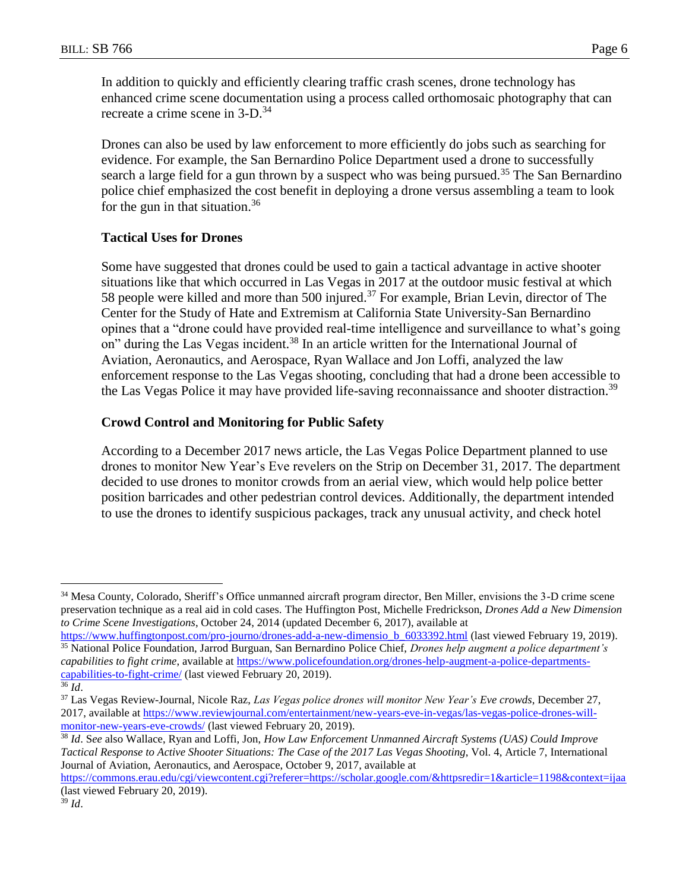In addition to quickly and efficiently clearing traffic crash scenes, drone technology has enhanced crime scene documentation using a process called orthomosaic photography that can recreate a crime scene in 3-D.<sup>34</sup>

Drones can also be used by law enforcement to more efficiently do jobs such as searching for evidence. For example, the San Bernardino Police Department used a drone to successfully search a large field for a gun thrown by a suspect who was being pursued.<sup>35</sup> The San Bernardino police chief emphasized the cost benefit in deploying a drone versus assembling a team to look for the gun in that situation.<sup>36</sup>

#### **Tactical Uses for Drones**

Some have suggested that drones could be used to gain a tactical advantage in active shooter situations like that which occurred in Las Vegas in 2017 at the outdoor music festival at which 58 people were killed and more than 500 injured.<sup>37</sup> For example, Brian Levin, director of The Center for the Study of Hate and Extremism at California State University-San Bernardino opines that a "drone could have provided real-time intelligence and surveillance to what's going on" during the Las Vegas incident.<sup>38</sup> In an article written for the International Journal of Aviation, Aeronautics, and Aerospace, Ryan Wallace and Jon Loffi, analyzed the law enforcement response to the Las Vegas shooting, concluding that had a drone been accessible to the Las Vegas Police it may have provided life-saving reconnaissance and shooter distraction.<sup>39</sup>

## **Crowd Control and Monitoring for Public Safety**

According to a December 2017 news article, the Las Vegas Police Department planned to use drones to monitor New Year's Eve revelers on the Strip on December 31, 2017. The department decided to use drones to monitor crowds from an aerial view, which would help police better position barricades and other pedestrian control devices. Additionally, the department intended to use the drones to identify suspicious packages, track any unusual activity, and check hotel

<sup>&</sup>lt;sup>34</sup> Mesa County, Colorado, Sheriff's Office unmanned aircraft program director, Ben Miller, envisions the 3-D crime scene preservation technique as a real aid in cold cases. The Huffington Post, Michelle Fredrickson, *Drones Add a New Dimension to Crime Scene Investigations*, October 24, 2014 (updated December 6, 2017), available at

[https://www.huffingtonpost.com/pro-journo/drones-add-a-new-dimensio\\_b\\_6033392.html](https://www.huffingtonpost.com/pro-journo/drones-add-a-new-dimensio_b_6033392.html) (last viewed February 19, 2019). <sup>35</sup> National Police Foundation, Jarrod Burguan, San Bernardino Police Chief, *Drones help augment a police department's capabilities to fight crime*, available at [https://www.policefoundation.org/drones-help-augment-a-police-departments](https://www.policefoundation.org/drones-help-augment-a-police-departments-capabilities-to-fight-crime/)[capabilities-to-fight-crime/](https://www.policefoundation.org/drones-help-augment-a-police-departments-capabilities-to-fight-crime/) (last viewed February 20, 2019).

<sup>36</sup> *Id*.

<sup>37</sup> Las Vegas Review-Journal, Nicole Raz, *Las Vegas police drones will monitor New Year's Eve crowds*, December 27, 2017, available at [https://www.reviewjournal.com/entertainment/new-years-eve-in-vegas/las-vegas-police-drones-will](https://www.reviewjournal.com/entertainment/new-years-eve-in-vegas/las-vegas-police-drones-will-monitor-new-years-eve-crowds/)[monitor-new-years-eve-crowds/](https://www.reviewjournal.com/entertainment/new-years-eve-in-vegas/las-vegas-police-drones-will-monitor-new-years-eve-crowds/) (last viewed February 20, 2019).

<sup>38</sup> *Id*. S*ee* also Wallace, Ryan and Loffi, Jon, *How Law Enforcement Unmanned Aircraft Systems (UAS) Could Improve Tactical Response to Active Shooter Situations: The Case of the 2017 Las Vegas Shooting*, Vol. 4, Article 7, International Journal of Aviation, Aeronautics, and Aerospace, October 9, 2017, available at

[https://commons.erau.edu/cgi/viewcontent.cgi?referer=https://scholar.google.com/&httpsredir=1&article=1198&context=ijaa](https://commons.erau.edu/cgi/viewcontent.cgi?referer=https://scholar.google.com/&httpsredir=1&article=1198&context=ijaaa) (last viewed February 20, 2019).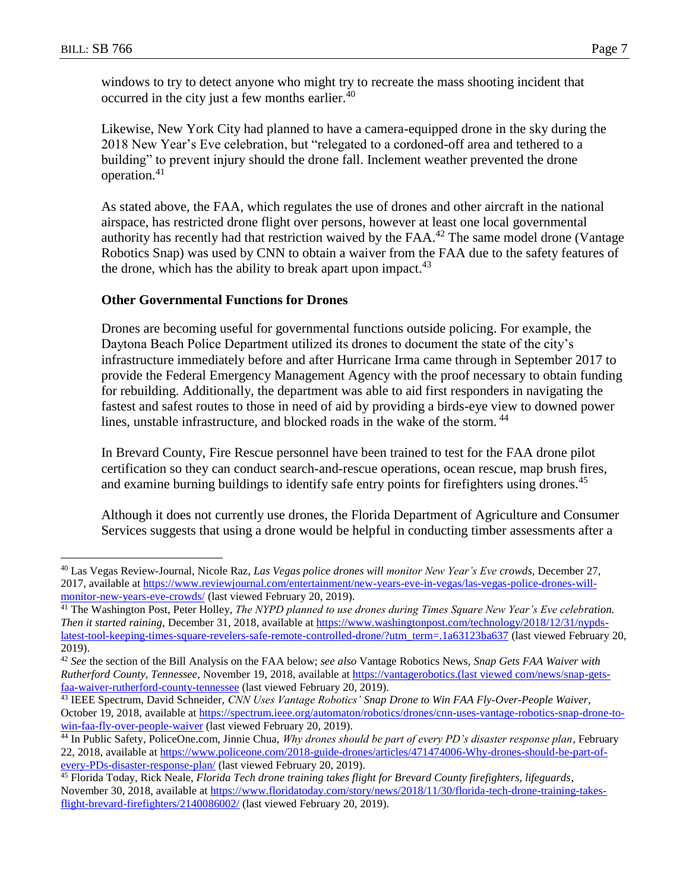$\overline{a}$ 

windows to try to detect anyone who might try to recreate the mass shooting incident that occurred in the city just a few months earlier.<sup>40</sup>

Likewise, New York City had planned to have a camera-equipped drone in the sky during the 2018 New Year's Eve celebration, but "relegated to a cordoned-off area and tethered to a building" to prevent injury should the drone fall. Inclement weather prevented the drone operation.<sup>41</sup>

As stated above, the FAA, which regulates the use of drones and other aircraft in the national airspace, has restricted drone flight over persons, however at least one local governmental authority has recently had that restriction waived by the  $FAA<sup>42</sup>$  The same model drone (Vantage Robotics Snap) was used by CNN to obtain a waiver from the FAA due to the safety features of the drone, which has the ability to break apart upon impact.<sup>43</sup>

#### **Other Governmental Functions for Drones**

Drones are becoming useful for governmental functions outside policing. For example, the Daytona Beach Police Department utilized its drones to document the state of the city's infrastructure immediately before and after Hurricane Irma came through in September 2017 to provide the Federal Emergency Management Agency with the proof necessary to obtain funding for rebuilding. Additionally, the department was able to aid first responders in navigating the fastest and safest routes to those in need of aid by providing a birds-eye view to downed power lines, unstable infrastructure, and blocked roads in the wake of the storm.<sup>44</sup>

In Brevard County, Fire Rescue personnel have been trained to test for the FAA drone pilot certification so they can conduct search-and-rescue operations, ocean rescue, map brush fires, and examine burning buildings to identify safe entry points for firefighters using drones.<sup>45</sup>

Although it does not currently use drones, the Florida Department of Agriculture and Consumer Services suggests that using a drone would be helpful in conducting timber assessments after a

<sup>40</sup> Las Vegas Review-Journal, Nicole Raz, *Las Vegas police drones will monitor New Year's Eve crowds*, December 27, 2017, available at [https://www.reviewjournal.com/entertainment/new-years-eve-in-vegas/las-vegas-police-drones-will](https://www.reviewjournal.com/entertainment/new-years-eve-in-vegas/las-vegas-police-drones-will-monitor-new-years-eve-crowds/)[monitor-new-years-eve-crowds/](https://www.reviewjournal.com/entertainment/new-years-eve-in-vegas/las-vegas-police-drones-will-monitor-new-years-eve-crowds/) (last viewed February 20, 2019).

<sup>41</sup> The Washington Post, Peter Holley, *The NYPD planned to use drones during Times Square New Year's Eve celebration. Then it started raining,* December 31, 2018, available at [https://www.washingtonpost.com/technology/2018/12/31/nypds](https://www.washingtonpost.com/technology/2018/12/31/nypds-latest-tool-keeping-times-square-revelers-safe-remote-controlled-drone/?utm_term=.1a63123ba637)[latest-tool-keeping-times-square-revelers-safe-remote-controlled-drone/?utm\\_term=.1a63123ba637](https://www.washingtonpost.com/technology/2018/12/31/nypds-latest-tool-keeping-times-square-revelers-safe-remote-controlled-drone/?utm_term=.1a63123ba637) (last viewed February 20, 2019).

<sup>42</sup> *See* the section of the Bill Analysis on the FAA below; *see also* Vantage Robotics News, *Snap Gets FAA Waiver with Rutherford County, Tennessee*, November 19, 2018, available at https://vantagerobotics.(last viewed com/news/snap-getsfaa-waiver-rutherford-county-tennessee (last viewed February 20, 2019).

<sup>43</sup> IEEE Spectrum, David Schneider, *CNN Uses Vantage Robotics' Snap Drone to Win FAA Fly-Over-People Waiver*, October 19, 2018, available at [https://spectrum.ieee.org/automaton/robotics/drones/cnn-uses-vantage-robotics-snap-drone-to](https://spectrum.ieee.org/automaton/robotics/drones/cnn-uses-vantage-robotics-snap-drone-to-win-faa-fly-over-people-waiver)[win-faa-fly-over-people-waiver](https://spectrum.ieee.org/automaton/robotics/drones/cnn-uses-vantage-robotics-snap-drone-to-win-faa-fly-over-people-waiver) (last viewed February 20, 2019).

<sup>44</sup> In Public Safety, PoliceOne.com, Jinnie Chua, *Why drones should be part of every PD's disaster response plan*, February 22, 2018, available at [https://www.policeone.com/2018-guide-drones/articles/471474006-Why-drones-should-be-part-of](https://www.policeone.com/2018-guide-drones/articles/471474006-Why-drones-should-be-part-of-every-PDs-disaster-response-plan/)[every-PDs-disaster-response-plan/](https://www.policeone.com/2018-guide-drones/articles/471474006-Why-drones-should-be-part-of-every-PDs-disaster-response-plan/) (last viewed February 20, 2019).

<sup>45</sup> Florida Today, Rick Neale, *Florida Tech drone training takes flight for Brevard County firefighters, lifeguards*, November 30, 2018, available at [https://www.floridatoday.com/story/news/2018/11/30/florida-tech-drone-training-takes](https://www.floridatoday.com/story/news/2018/11/30/florida-tech-drone-training-takes-flight-brevard-firefighters/2140086002/)[flight-brevard-firefighters/2140086002/](https://www.floridatoday.com/story/news/2018/11/30/florida-tech-drone-training-takes-flight-brevard-firefighters/2140086002/) (last viewed February 20, 2019).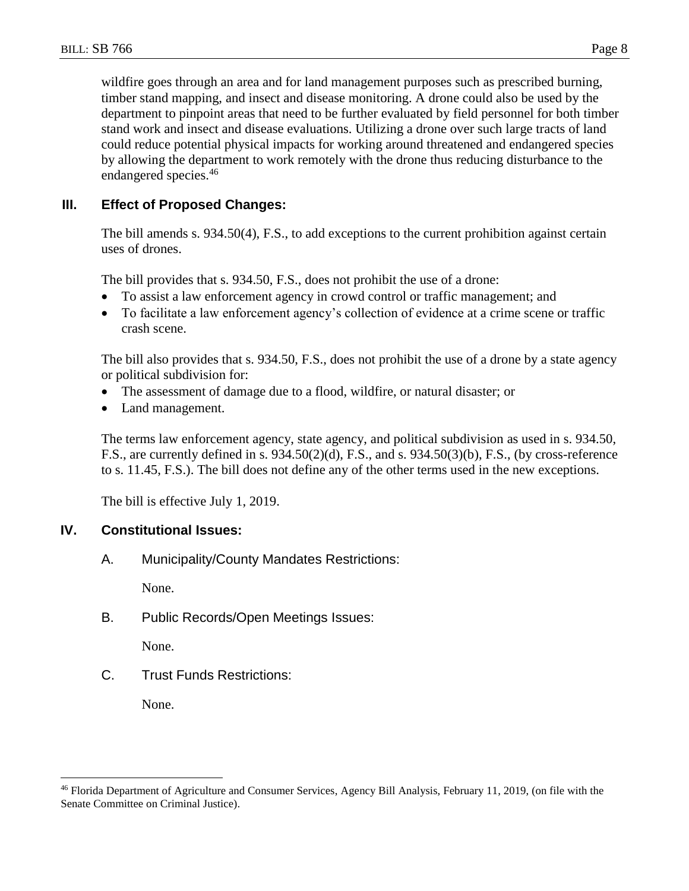wildfire goes through an area and for land management purposes such as prescribed burning, timber stand mapping, and insect and disease monitoring. A drone could also be used by the department to pinpoint areas that need to be further evaluated by field personnel for both timber stand work and insect and disease evaluations. Utilizing a drone over such large tracts of land could reduce potential physical impacts for working around threatened and endangered species by allowing the department to work remotely with the drone thus reducing disturbance to the endangered species.<sup>46</sup>

# **III. Effect of Proposed Changes:**

The bill amends s. 934.50(4), F.S., to add exceptions to the current prohibition against certain uses of drones.

The bill provides that s. 934.50, F.S., does not prohibit the use of a drone:

- To assist a law enforcement agency in crowd control or traffic management; and
- To facilitate a law enforcement agency's collection of evidence at a crime scene or traffic crash scene.

The bill also provides that s. 934.50, F.S., does not prohibit the use of a drone by a state agency or political subdivision for:

- The assessment of damage due to a flood, wildfire, or natural disaster; or
- Land management.

The terms law enforcement agency, state agency, and political subdivision as used in s. 934.50, F.S., are currently defined in s. 934.50(2)(d), F.S., and s. 934.50(3)(b), F.S., (by cross-reference to s. 11.45, F.S.). The bill does not define any of the other terms used in the new exceptions.

The bill is effective July 1, 2019.

#### **IV. Constitutional Issues:**

A. Municipality/County Mandates Restrictions:

None.

B. Public Records/Open Meetings Issues:

None.

C. Trust Funds Restrictions:

None.

<sup>46</sup> Florida Department of Agriculture and Consumer Services, Agency Bill Analysis, February 11, 2019, (on file with the Senate Committee on Criminal Justice).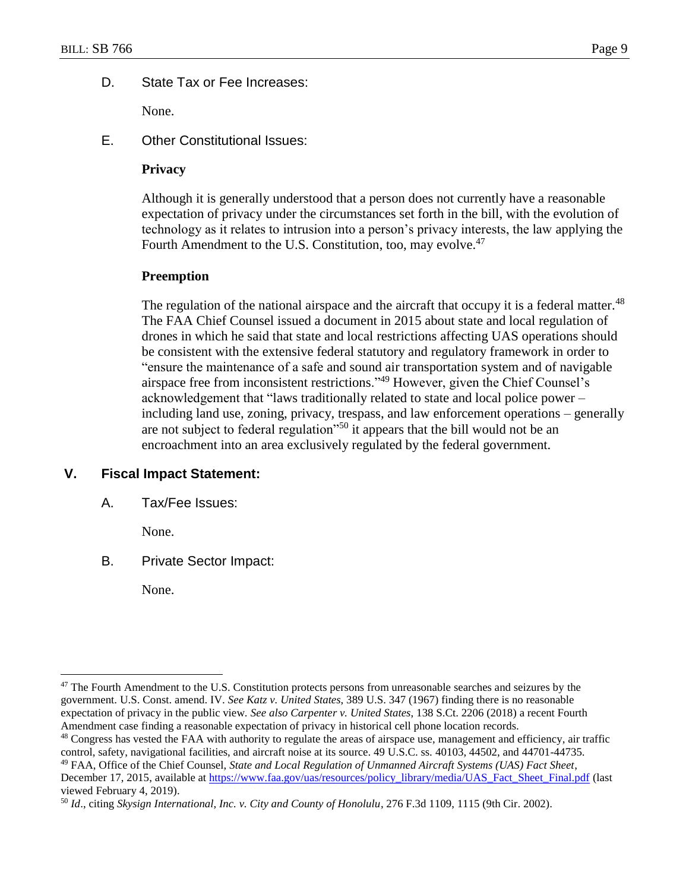### D. State Tax or Fee Increases:

None.

E. Other Constitutional Issues:

## **Privacy**

Although it is generally understood that a person does not currently have a reasonable expectation of privacy under the circumstances set forth in the bill, with the evolution of technology as it relates to intrusion into a person's privacy interests, the law applying the Fourth Amendment to the U.S. Constitution, too, may evolve.<sup>47</sup>

#### **Preemption**

The regulation of the national airspace and the aircraft that occupy it is a federal matter.<sup>48</sup> The FAA Chief Counsel issued a document in 2015 about state and local regulation of drones in which he said that state and local restrictions affecting UAS operations should be consistent with the extensive federal statutory and regulatory framework in order to "ensure the maintenance of a safe and sound air transportation system and of navigable airspace free from inconsistent restrictions."<sup>49</sup> However, given the Chief Counsel's acknowledgement that "laws traditionally related to state and local police power – including land use, zoning, privacy, trespass, and law enforcement operations – generally are not subject to federal regulation<sup>50</sup> it appears that the bill would not be an encroachment into an area exclusively regulated by the federal government.

## **V. Fiscal Impact Statement:**

A. Tax/Fee Issues:

None.

B. Private Sector Impact:

None.

<sup>&</sup>lt;sup>47</sup> The Fourth Amendment to the U.S. Constitution protects persons from unreasonable searches and seizures by the government. U.S. Const. amend. IV. *See Katz v. United States*, 389 U.S. 347 (1967) finding there is no reasonable expectation of privacy in the public view. *See also Carpenter v. United States*, 138 S.Ct. 2206 (2018) a recent Fourth Amendment case finding a reasonable expectation of privacy in historical cell phone location records.

<sup>&</sup>lt;sup>48</sup> Congress has vested the FAA with authority to regulate the areas of airspace use, management and efficiency, air traffic control, safety, navigational facilities, and aircraft noise at its source. 49 U.S.C. ss. 40103, 44502, and 44701-44735.

<sup>49</sup> FAA, Office of the Chief Counsel, *State and Local Regulation of Unmanned Aircraft Systems (UAS) Fact Sheet*, December 17, 2015, available at [https://www.faa.gov/uas/resources/policy\\_library/media/UAS\\_Fact\\_Sheet\\_Final.pdf](https://www.faa.gov/uas/resources/policy_library/media/UAS_Fact_Sheet_Final.pdf) (last viewed February 4, 2019).

<sup>50</sup> *Id*., citing *Skysign International, Inc. v. City and County of Honolulu*, 276 F.3d 1109, 1115 (9th Cir. 2002).